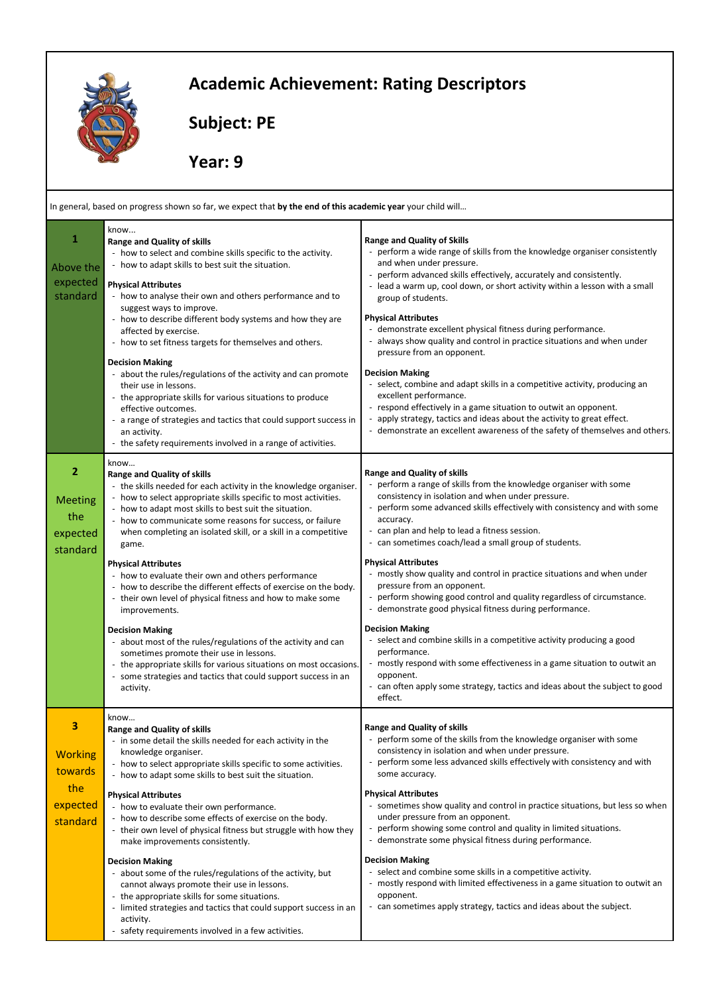

## **Academic Achievement: Rating Descriptors**

 **Subject: PE** 

 **Year: 9** 

| In general, based on progress shown so far, we expect that by the end of this academic year your child will |                                                                                                                                                                                                                                                                                                                                                                                                                                                                                                                                                                                                                                                                                                                                                                                                                                                                                                                        |                                                                                                                                                                                                                                                                                                                                                                                                                                                                                                                                                                                                                                                                                                                                                                                                                                                                                                                                               |
|-------------------------------------------------------------------------------------------------------------|------------------------------------------------------------------------------------------------------------------------------------------------------------------------------------------------------------------------------------------------------------------------------------------------------------------------------------------------------------------------------------------------------------------------------------------------------------------------------------------------------------------------------------------------------------------------------------------------------------------------------------------------------------------------------------------------------------------------------------------------------------------------------------------------------------------------------------------------------------------------------------------------------------------------|-----------------------------------------------------------------------------------------------------------------------------------------------------------------------------------------------------------------------------------------------------------------------------------------------------------------------------------------------------------------------------------------------------------------------------------------------------------------------------------------------------------------------------------------------------------------------------------------------------------------------------------------------------------------------------------------------------------------------------------------------------------------------------------------------------------------------------------------------------------------------------------------------------------------------------------------------|
| 1<br>Above the<br>expected<br>standard                                                                      | know<br><b>Range and Quality of skills</b><br>- how to select and combine skills specific to the activity.<br>- how to adapt skills to best suit the situation.<br><b>Physical Attributes</b><br>- how to analyse their own and others performance and to<br>suggest ways to improve.<br>- how to describe different body systems and how they are<br>affected by exercise.<br>- how to set fitness targets for themselves and others.<br><b>Decision Making</b><br>- about the rules/regulations of the activity and can promote<br>their use in lessons.<br>- the appropriate skills for various situations to produce<br>effective outcomes.<br>- a range of strategies and tactics that could support success in<br>an activity.<br>- the safety requirements involved in a range of activities.                                                                                                                   | <b>Range and Quality of Skills</b><br>perform a wide range of skills from the knowledge organiser consistently<br>and when under pressure.<br>perform advanced skills effectively, accurately and consistently.<br>- lead a warm up, cool down, or short activity within a lesson with a small<br>group of students.<br><b>Physical Attributes</b><br>demonstrate excellent physical fitness during performance.<br>- always show quality and control in practice situations and when under<br>pressure from an opponent.<br><b>Decision Making</b><br>- select, combine and adapt skills in a competitive activity, producing an<br>excellent performance.<br>respond effectively in a game situation to outwit an opponent.<br>- apply strategy, tactics and ideas about the activity to great effect.<br>- demonstrate an excellent awareness of the safety of themselves and others.                                                      |
| $\overline{2}$<br><b>Meeting</b><br>the<br>expected<br>standard                                             | know<br><b>Range and Quality of skills</b><br>- the skills needed for each activity in the knowledge organiser.<br>- how to select appropriate skills specific to most activities.<br>- how to adapt most skills to best suit the situation.<br>- how to communicate some reasons for success, or failure<br>when completing an isolated skill, or a skill in a competitive<br>game.<br><b>Physical Attributes</b><br>- how to evaluate their own and others performance<br>- how to describe the different effects of exercise on the body.<br>- their own level of physical fitness and how to make some<br>improvements.<br><b>Decision Making</b><br>- about most of the rules/regulations of the activity and can<br>sometimes promote their use in lessons.<br>- the appropriate skills for various situations on most occasions.<br>- some strategies and tactics that could support success in an<br>activity. | <b>Range and Quality of skills</b><br>perform a range of skills from the knowledge organiser with some<br>consistency in isolation and when under pressure.<br>perform some advanced skills effectively with consistency and with some<br>accuracy.<br>can plan and help to lead a fitness session.<br>- can sometimes coach/lead a small group of students.<br><b>Physical Attributes</b><br>- mostly show quality and control in practice situations and when under<br>pressure from an opponent.<br>- perform showing good control and quality regardless of circumstance.<br>- demonstrate good physical fitness during performance.<br><b>Decision Making</b><br>- select and combine skills in a competitive activity producing a good<br>performance.<br>mostly respond with some effectiveness in a game situation to outwit an<br>opponent.<br>can often apply some strategy, tactics and ideas about the subject to good<br>effect. |
| ٦<br><b>Working</b><br>towards<br>the<br>expected<br>standard                                               | know<br>Range and Quality of skills<br>- in some detail the skills needed for each activity in the<br>knowledge organiser.<br>- how to select appropriate skills specific to some activities.<br>- how to adapt some skills to best suit the situation.<br><b>Physical Attributes</b><br>- how to evaluate their own performance.<br>- how to describe some effects of exercise on the body.<br>- their own level of physical fitness but struggle with how they<br>make improvements consistently.<br><b>Decision Making</b><br>- about some of the rules/regulations of the activity, but<br>cannot always promote their use in lessons.<br>- the appropriate skills for some situations.<br>- limited strategies and tactics that could support success in an<br>activity.<br>- safety requirements involved in a few activities.                                                                                   | Range and Quality of skills<br>- perform some of the skills from the knowledge organiser with some<br>consistency in isolation and when under pressure.<br>perform some less advanced skills effectively with consistency and with<br>some accuracy.<br><b>Physical Attributes</b><br>sometimes show quality and control in practice situations, but less so when<br>under pressure from an opponent.<br>perform showing some control and quality in limited situations.<br>demonstrate some physical fitness during performance.<br>$\overline{\phantom{a}}$<br><b>Decision Making</b><br>- select and combine some skills in a competitive activity.<br>mostly respond with limited effectiveness in a game situation to outwit an<br>opponent.<br>- can sometimes apply strategy, tactics and ideas about the subject.                                                                                                                     |